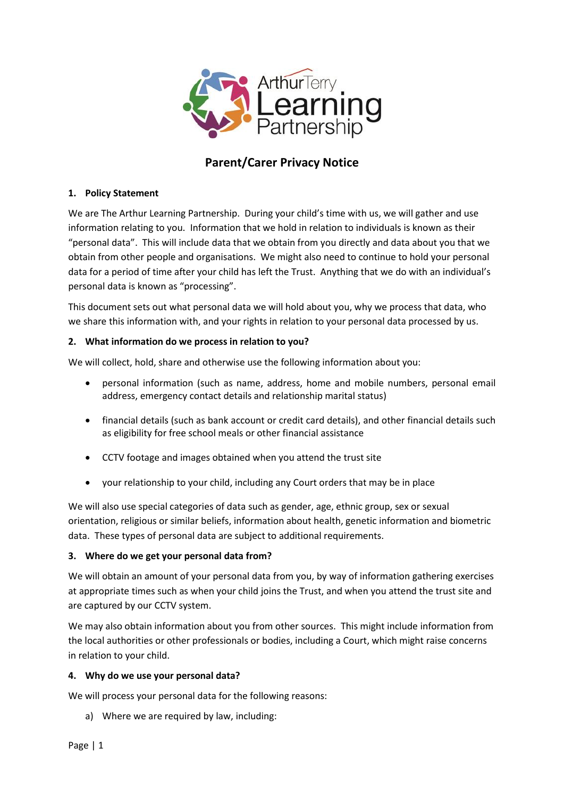

# **Parent/Carer Privacy Notice**

### **1. Policy Statement**

We are The Arthur Learning Partnership. During your child's time with us, we will gather and use information relating to you. Information that we hold in relation to individuals is known as their "personal data". This will include data that we obtain from you directly and data about you that we obtain from other people and organisations. We might also need to continue to hold your personal data for a period of time after your child has left the Trust. Anything that we do with an individual's personal data is known as "processing".

This document sets out what personal data we will hold about you, why we process that data, who we share this information with, and your rights in relation to your personal data processed by us.

### **2. What information do we process in relation to you?**

We will collect, hold, share and otherwise use the following information about you:

- personal information (such as name, address, home and mobile numbers, personal email address, emergency contact details and relationship marital status)
- financial details (such as bank account or credit card details), and other financial details such as eligibility for free school meals or other financial assistance
- CCTV footage and images obtained when you attend the trust site
- your relationship to your child, including any Court orders that may be in place

We will also use special categories of data such as gender, age, ethnic group, sex or sexual orientation, religious or similar beliefs, information about health, genetic information and biometric data. These types of personal data are subject to additional requirements.

### **3. Where do we get your personal data from?**

We will obtain an amount of your personal data from you, by way of information gathering exercises at appropriate times such as when your child joins the Trust, and when you attend the trust site and are captured by our CCTV system.

We may also obtain information about you from other sources. This might include information from the local authorities or other professionals or bodies, including a Court, which might raise concerns in relation to your child.

### **4. Why do we use your personal data?**

We will process your personal data for the following reasons:

a) Where we are required by law, including: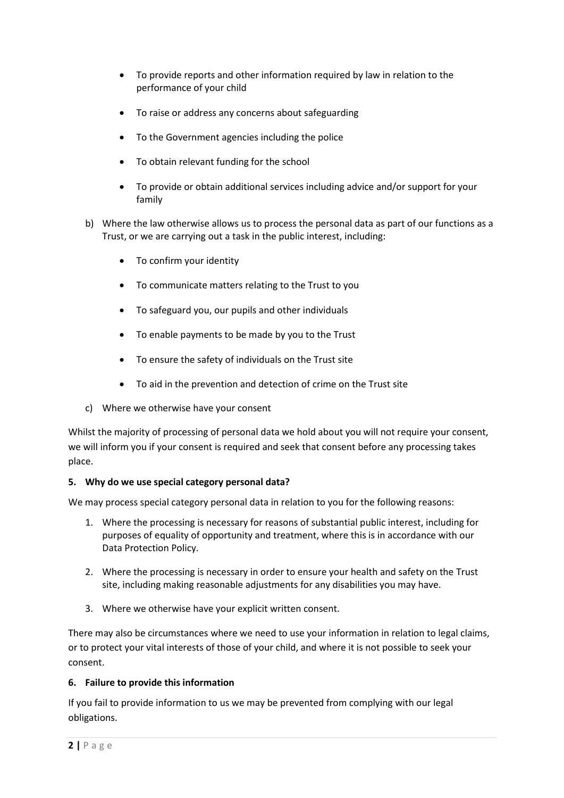- To provide reports and other information required by law in relation to the performance of your child
- To raise or address any concerns about safeguarding
- To the Government agencies including the police
- To obtain relevant funding for the school
- To provide or obtain additional services including advice and/or support for your family
- b) Where the law otherwise allows us to process the personal data as part of our functions as a Trust, or we are carrying out a task in the public interest, including:
	- To confirm your identity
	- To communicate matters relating to the Trust to you
	- To safeguard you, our pupils and other individuals
	- To enable payments to be made by you to the Trust
	- To ensure the safety of individuals on the Trust site
	- To aid in the prevention and detection of crime on the Trust site
- c) Where we otherwise have your consent

Whilst the majority of processing of personal data we hold about you will not require your consent, we will inform you if your consent is required and seek that consent before any processing takes place.

## **5. Why do we use special category personal data?**

We may process special category personal data in relation to you for the following reasons:

- 1. Where the processing is necessary for reasons of substantial public interest, including for purposes of equality of opportunity and treatment, where this is in accordance with our Data Protection Policy.
- 2. Where the processing is necessary in order to ensure your health and safety on the Trust site, including making reasonable adjustments for any disabilities you may have.
- 3. Where we otherwise have your explicit written consent.

There may also be circumstances where we need to use your information in relation to legal claims, or to protect your vital interests of those of your child, and where it is not possible to seek your consent.

## **6. Failure to provide this information**

If you fail to provide information to us we may be prevented from complying with our legal obligations.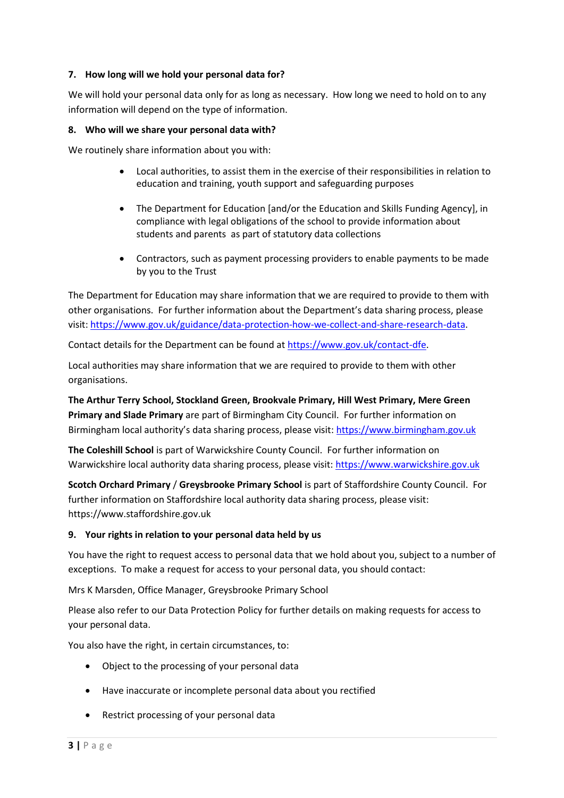### **7. How long will we hold your personal data for?**

We will hold your personal data only for as long as necessary. How long we need to hold on to any information will depend on the type of information.

#### **8. Who will we share your personal data with?**

We routinely share information about you with:

- Local authorities, to assist them in the exercise of their responsibilities in relation to education and training, youth support and safeguarding purposes
- The Department for Education [and/or the Education and Skills Funding Agency], in compliance with legal obligations of the school to provide information about students and parents as part of statutory data collections
- Contractors, such as payment processing providers to enable payments to be made by you to the Trust

The Department for Education may share information that we are required to provide to them with other organisations. For further information about the Department's data sharing process, please visit[: https://www.gov.uk/guidance/data-protection-how-we-collect-and-share-research-data.](https://www.gov.uk/guidance/data-protection-how-we-collect-and-share-research-data)

Contact details for the Department can be found a[t https://www.gov.uk/contact-dfe.](https://www.gov.uk/contact-dfe)

Local authorities may share information that we are required to provide to them with other organisations.

**The Arthur Terry School, Stockland Green, Brookvale Primary, Hill West Primary, Mere Green Primary and Slade Primary** are part of Birmingham City Council. For further information on Birmingham local authority's data sharing process, please visit: [https://www.birmingham.gov.uk](https://www.birmingham.gov.uk/)

**The Coleshill School** is part of Warwickshire County Council. For further information on Warwickshire local authority data sharing process, please visit: [https://www.warwickshire.gov.uk](https://www.warwickshire.gov.uk/)

**Scotch Orchard Primary** / **Greysbrooke Primary School** is part of Staffordshire County Council. For further information on Staffordshire local authority data sharing process, please visit: https://www.staffordshire.gov.uk

### **9. Your rights in relation to your personal data held by us**

You have the right to request access to personal data that we hold about you, subject to a number of exceptions. To make a request for access to your personal data, you should contact:

Mrs K Marsden, Office Manager, Greysbrooke Primary School

Please also refer to our Data Protection Policy for further details on making requests for access to your personal data.

You also have the right, in certain circumstances, to:

- Object to the processing of your personal data
- Have inaccurate or incomplete personal data about you rectified
- Restrict processing of your personal data